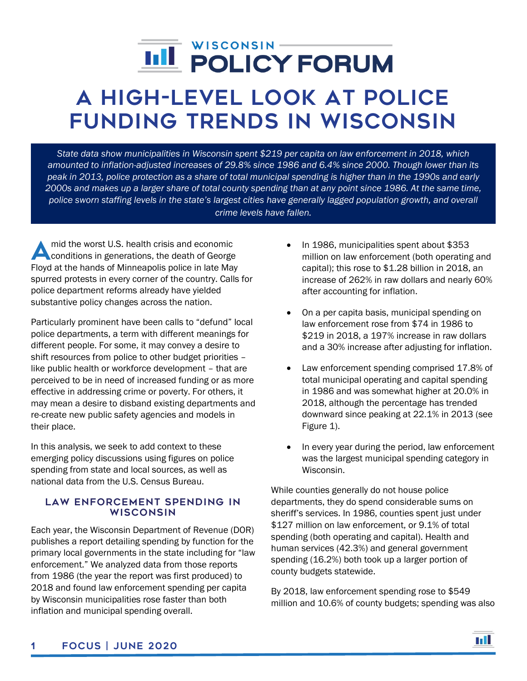# í

# A High-Level Look at Police Funding Trends in Wisconsin

*State data show municipalities in Wisconsin spent \$219 per capita on law enforcement in 2018, which amounted to inflation-adjusted increases of 29.8% since 1986 and 6.4% since 2000. Though lower than its peak in 2013, police protection as a share of total municipal spending is higher than in the 1990s and early 2000s and makes up a larger share of total county spending than at any point since 1986. At the same time, police sworn staffing levels in the state's largest cities have generally lagged population growth, and overall crime levels have fallen.*

mid the worst U.S. health crisis and economic mid the worst U.S. health crisis and economic<br>conditions in generations, the death of George Floyd at the hands of Minneapolis police in late May spurred protests in every corner of the country. Calls for police department reforms already have yielded substantive policy changes across the nation.

Particularly prominent have been calls to "defund" local police departments, a term with different meanings for different people. For some, it may convey a desire to shift resources from police to other budget priorities – like public health or workforce development – that are perceived to be in need of increased funding or as more effective in addressing crime or poverty. For others, it may mean a desire to disband existing departments and re-create new public safety agencies and models in their place.

In this analysis, we seek to add context to these emerging policy discussions using figures on police spending from state and local sources, as well as national data from the U.S. Census Bureau.

# LAW ENFORCEMENT SPENDING IN **WISCONSIN**

Each year, the Wisconsin Department of Revenue (DOR) publishes a report detailing spending by function for the primary local governments in the state including for "law enforcement." We analyzed data from those reports from 1986 (the year the report was first produced) to 2018 and found law enforcement spending per capita by Wisconsin municipalities rose faster than both inflation and municipal spending overall.

- In 1986, municipalities spent about \$353 million on law enforcement (both operating and capital); this rose to \$1.28 billion in 2018, an increase of 262% in raw dollars and nearly 60% after accounting for inflation.
- On a per capita basis, municipal spending on law enforcement rose from \$74 in 1986 to \$219 in 2018, a 197% increase in raw dollars and a 30% increase after adjusting for inflation.
- Law enforcement spending comprised 17.8% of total municipal operating and capital spending in 1986 and was somewhat higher at 20.0% in 2018, although the percentage has trended downward since peaking at 22.1% in 2013 (see Figure 1).
- In every year during the period, law enforcement was the largest municipal spending category in Wisconsin.

While counties generally do not house police departments, they do spend considerable sums on sheriff's services. In 1986, counties spent just under \$127 million on law enforcement, or 9.1% of total spending (both operating and capital). Health and human services (42.3%) and general government spending (16.2%) both took up a larger portion of county budgets statewide.

By 2018, law enforcement spending rose to \$549 million and 10.6% of county budgets; spending was also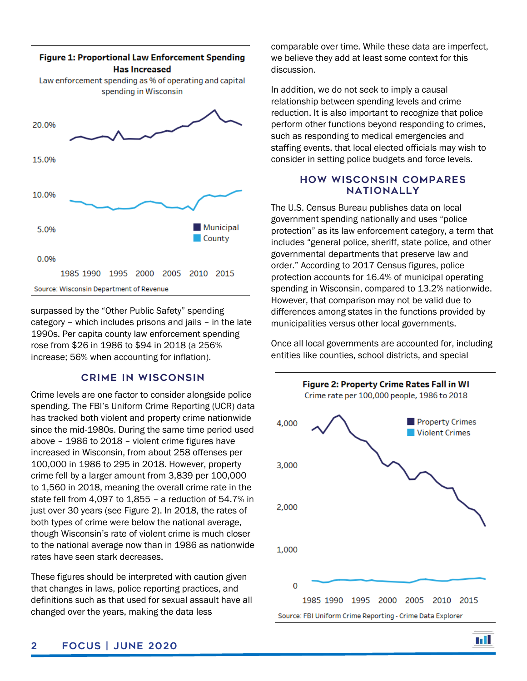

surpassed by the "Other Public Safety" spending category – which includes prisons and jails – in the late 1990s. Per capita county law enforcement spending rose from \$26 in 1986 to \$94 in 2018 (a 256% increase; 56% when accounting for inflation).

#### **CRIME IN WISCONSIN**

Crime levels are one factor to consider alongside police spending. The FBI's Uniform Crime Reporting (UCR) data has tracked both violent and property crime nationwide since the mid-1980s. During the same time period used above – 1986 to 2018 – violent crime figures have increased in Wisconsin, from about 258 offenses per 100,000 in 1986 to 295 in 2018. However, property crime fell by a larger amount from 3,839 per 100,000 to 1,560 in 2018, meaning the overall crime rate in the state fell from 4,097 to 1,855 – a reduction of 54.7% in just over 30 years (see Figure 2). In 2018, the rates of both types of crime were below the national average, though Wisconsin's rate of violent crime is much closer to the national average now than in 1986 as nationwide rates have seen stark decreases.

These figures should be interpreted with caution given that changes in laws, police reporting practices, and definitions such as that used for sexual assault have all changed over the years, making the data less

comparable over time. While these data are imperfect, we believe they add at least some context for this discussion.

In addition, we do not seek to imply a causal relationship between spending levels and crime reduction. It is also important to recognize that police perform other functions beyond responding to crimes, such as responding to medical emergencies and staffing events, that local elected officials may wish to consider in setting police budgets and force levels.

# **HOW WISCONSIN COMPARES NATIONALLY**

The U.S. Census Bureau publishes data on local government spending nationally and uses "police protection" as its law enforcement category, a term that includes "general police, sheriff, state police, and other governmental departments that preserve law and order." According to 2017 Census figures, police protection accounts for 16.4% of municipal operating spending in Wisconsin, compared to 13.2% nationwide. However, that comparison may not be valid due to differences among states in the functions provided by municipalities versus other local governments.

Once all local governments are accounted for, including entities like counties, school districts, and special

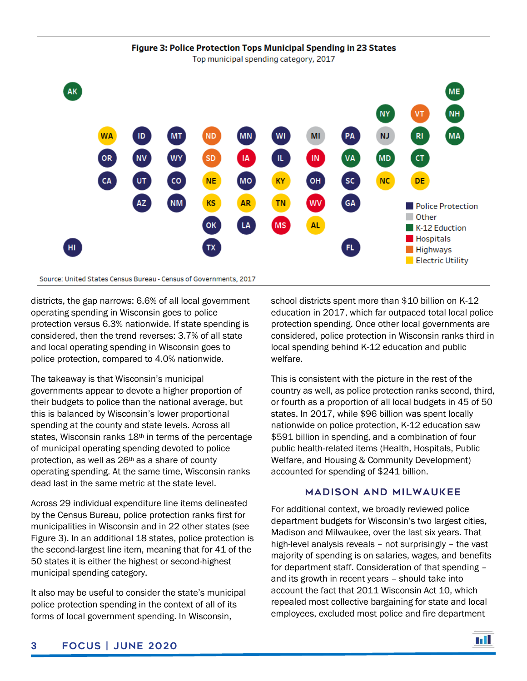

districts, the gap narrows: 6.6% of all local government operating spending in Wisconsin goes to police protection versus 6.3% nationwide. If state spending is considered, then the trend reverses: 3.7% of all state and local operating spending in Wisconsin goes to police protection, compared to 4.0% nationwide.

The takeaway is that Wisconsin's municipal governments appear to devote a higher proportion of their budgets to police than the national average, but this is balanced by Wisconsin's lower proportional spending at the county and state levels. Across all states, Wisconsin ranks 18<sup>th</sup> in terms of the percentage of municipal operating spending devoted to police protection, as well as 26th as a share of county operating spending. At the same time, Wisconsin ranks dead last in the same metric at the state level.

Across 29 individual expenditure line items delineated by the Census Bureau, police protection ranks first for municipalities in Wisconsin and in 22 other states (see Figure 3). In an additional 18 states, police protection is the second-largest line item, meaning that for 41 of the 50 states it is either the highest or second-highest municipal spending category.

It also may be useful to consider the state's municipal police protection spending in the context of all of its forms of local government spending. In Wisconsin,

school districts spent more than \$10 billion on K-12 education in 2017, which far outpaced total local police protection spending. Once other local governments are considered, police protection in Wisconsin ranks third in local spending behind K-12 education and public welfare.

This is consistent with the picture in the rest of the country as well, as police protection ranks second, third, or fourth as a proportion of all local budgets in 45 of 50 states. In 2017, while \$96 billion was spent locally nationwide on police protection, K-12 education saw \$591 billion in spending, and a combination of four public health-related items (Health, Hospitals, Public Welfare, and Housing & Community Development) accounted for spending of \$241 billion.

### **MADISON AND MILWAUKEE**

For additional context, we broadly reviewed police department budgets for Wisconsin's two largest cities, Madison and Milwaukee, over the last six years. That high-level analysis reveals – not surprisingly – the vast majority of spending is on salaries, wages, and benefits for department staff. Consideration of that spending – and its growth in recent years – should take into account the fact that 2011 Wisconsin Act 10, which repealed most collective bargaining for state and local employees, excluded most police and fire department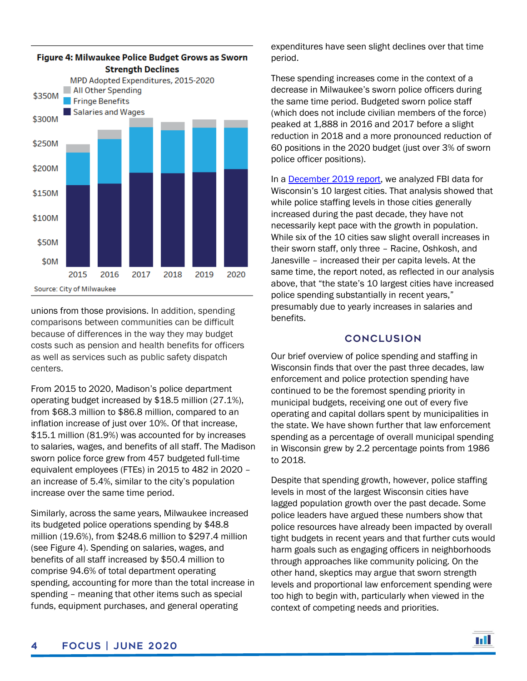

unions from those provisions. In addition, spending comparisons between communities can be difficult because of differences in the way they may budget costs such as pension and health benefits for officers as well as services such as public safety dispatch centers.

From 2015 to 2020, Madison's police department operating budget increased by \$18.5 million (27.1%), from \$68.3 million to \$86.8 million, compared to an inflation increase of just over 10%. Of that increase, \$15.1 million (81.9%) was accounted for by increases to salaries, wages, and benefits of all staff. The Madison sworn police force grew from 457 budgeted full-time equivalent employees (FTEs) in 2015 to 482 in 2020 – an increase of 5.4%, similar to the city's population increase over the same time period.

Similarly, across the same years, Milwaukee increased its budgeted police operations spending by \$48.8 million (19.6%), from \$248.6 million to \$297.4 million (see Figure 4). Spending on salaries, wages, and benefits of all staff increased by \$50.4 million to comprise 94.6% of total department operating spending, accounting for more than the total increase in spending – meaning that other items such as special funds, equipment purchases, and general operating

expenditures have seen slight declines over that time period.

These spending increases come in the context of a decrease in Milwaukee's sworn police officers during the same time period. Budgeted sworn police staff (which does not include civilian members of the force) peaked at 1,888 in 2016 and 2017 before a slight reduction in 2018 and a more pronounced reduction of 60 positions in the 2020 budget (just over 3% of sworn police officer positions).

In a **December 2019 report**, we analyzed FBI data for Wisconsin's 10 largest cities. That analysis showed that while police staffing levels in those cities generally increased during the past decade, they have not necessarily kept pace with the growth in population. While six of the 10 cities saw slight overall increases in their sworn staff, only three – Racine, Oshkosh, and Janesville – increased their per capita levels. At the same time, the report noted, as reflected in our analysis above, that "the state's 10 largest cities have increased police spending substantially in recent years," presumably due to yearly increases in salaries and benefits.

## **CONCLUSION**

Our brief overview of police spending and staffing in Wisconsin finds that over the past three decades, law enforcement and police protection spending have continued to be the foremost spending priority in municipal budgets, receiving one out of every five operating and capital dollars spent by municipalities in the state. We have shown further that law enforcement spending as a percentage of overall municipal spending in Wisconsin grew by 2.2 percentage points from 1986 to 2018.

Despite that spending growth, however, police staffing levels in most of the largest Wisconsin cities have lagged population growth over the past decade. Some police leaders have argued these numbers show that police resources have already been impacted by overall tight budgets in recent years and that further cuts would harm goals such as engaging officers in neighborhoods through approaches like community policing. On the other hand, skeptics may argue that sworn strength levels and proportional law enforcement spending were too high to begin with, particularly when viewed in the context of competing needs and priorities.